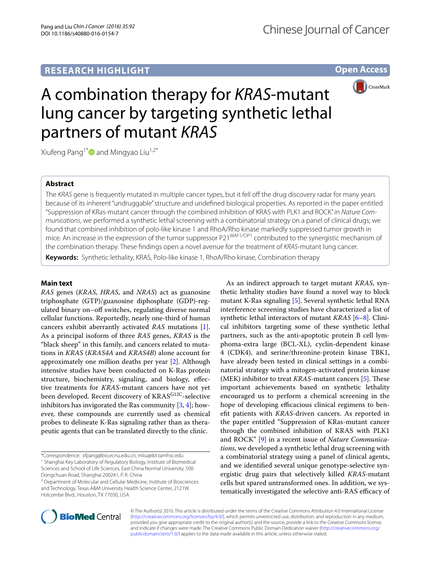# **RESEARCH HIGHLIGHT**

**Open Access**



# A combination therapy for *KRAS*-mutant lung cancer by targeting synthetic lethal partners of mutant *KRAS*

Xiufeng Pang<sup>1\*</sup> and Mingyao Liu<sup>1,2\*</sup>

### **Abstract**

The *KRAS* gene is frequently mutated in multiple cancer types, but it fell off the drug discovery radar for many years because of its inherent "undruggable" structure and undefined biological properties. As reported in the paper entitled "Suppression of KRas-mutant cancer through the combined inhibition of KRAS with PLK1 and ROCK" in *Nature Communications*, we performed a synthetic lethal screening with a combinatorial strategy on a panel of clinical drugs; we found that combined inhibition of polo-like kinase 1 and RhoA/Rho kinase markedly suppressed tumor growth in mice. An increase in the expression of the tumor suppressor P21WAF1/CIP1 contributed to the synergistic mechanism of the combination therapy. These findings open a novel avenue for the treatment of *KRAS*-mutant lung cancer.

**Keywords:** Synthetic lethality, KRAS, Polo-like kinase 1, RhoA/Rho kinase, Combination therapy

#### **Main text**

*RAS* genes (*KRAS*, *HRAS*, and *NRAS*) act as guanosine triphosphate (GTP)/guanosine diphosphate (GDP)-regulated binary on–off switches, regulating diverse normal cellular functions. Reportedly, nearly one-third of human cancers exhibit aberrantly activated *RAS* mutations [\[1](#page-2-0)]. As a principal isoform of three *RAS* genes, *KRAS* is the "black sheep" in this family, and cancers related to mutations in *KRAS* (*KRAS4A* and *KRAS4B*) alone account for approximately one million deaths per year [\[2](#page-2-1)]. Although intensive studies have been conducted on K-Ras protein structure, biochemistry, signaling, and biology, effective treatments for *KRAS*-mutant cancers have not yet been developed. Recent discovery of KRASG12C-selective inhibitors has invigorated the Ras community [\[3](#page-2-2), [4\]](#page-2-3); however, these compounds are currently used as chemical probes to delineate K-Ras signaling rather than as therapeutic agents that can be translated directly to the clinic.

\*Correspondence: xfpang@bio.ecnu.edu.cn; mliu@ibt.tamhsc.edu <sup>1</sup> Shanghai Key Laboratory of Regulatory Biology, Institute of Biomedical Sciences and School of Life Sciences, East China Normal University, 500 Dongchuan Road, Shanghai 200241, P. R. China

<sup>2</sup> Department of Molecular and Cellular Medicine, Institute of Biosciences and Technology, Texas A&M University Health Science Center, 2121W. Holcombe Blvd., Houston, TX 77030, USA

As an indirect approach to target mutant *KRAS*, synthetic lethality studies have found a novel way to block mutant K-Ras signaling [\[5\]](#page-2-4). Several synthetic lethal RNA interference screening studies have characterized a list of synthetic lethal interactors of mutant *KRAS* [[6–](#page-2-5)[8\]](#page-2-6). Clinical inhibitors targeting some of these synthetic lethal partners, such as the anti-apoptotic protein B cell lymphoma-extra large (BCL-XL), cyclin-dependent kinase 4 (CDK4), and serine/threonine-protein kinase TBK1, have already been tested in clinical settings in a combinatorial strategy with a mitogen-activated protein kinase (MEK) inhibitor to treat *KRAS*-mutant cancers [\[5](#page-2-4)]. These important achievements based on synthetic lethality encouraged us to perform a chemical screening in the hope of developing efficacious clinical regimens to benefit patients with *KRAS*-driven cancers. As reported in the paper entitled "Suppression of KRas-mutant cancer through the combined inhibition of KRAS with PLK1 and ROCK" [\[9](#page-2-7)] in a recent issue of *Nature Communications*, we developed a synthetic lethal drug screening with a combinatorial strategy using a panel of clinical agents, and we identified several unique genotype-selective synergistic drug pairs that selectively killed *KRAS*-mutant cells but spared untransformed ones. In addition, we systematically investigated the selective anti-RAS efficacy of



© The Author(s) 2016. This article is distributed under the terms of the Creative Commons Attribution 4.0 International License [\(http://creativecommons.org/licenses/by/4.0/\)](http://creativecommons.org/licenses/by/4.0/), which permits unrestricted use, distribution, and reproduction in any medium, provided you give appropriate credit to the original author(s) and the source, provide a link to the Creative Commons license, and indicate if changes were made. The Creative Commons Public Domain Dedication waiver ([http://creativecommons.org/](http://creativecommons.org/publicdomain/zero/1.0/) [publicdomain/zero/1.0/](http://creativecommons.org/publicdomain/zero/1.0/)) applies to the data made available in this article, unless otherwise stated.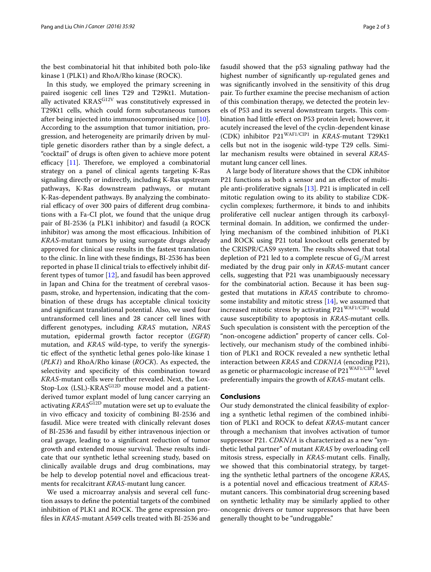the best combinatorial hit that inhibited both polo-like kinase 1 (PLK1) and RhoA/Rho kinase (ROCK).

In this study, we employed the primary screening in paired isogenic cell lines T29 and T29Kt1. Mutationally activated KRAS<sup>G12V</sup> was constitutively expressed in T29Kt1 cells, which could form subcutaneous tumors after being injected into immunocompromised mice [\[10](#page-2-8)]. According to the assumption that tumor initiation, progression, and heterogeneity are primarily driven by multiple genetic disorders rather than by a single defect, a "cocktail" of drugs is often given to achieve more potent efficacy [[11](#page-2-9)]. Therefore, we employed a combinatorial strategy on a panel of clinical agents targeting K-Ras signaling directly or indirectly, including K-Ras upstream pathways, K-Ras downstream pathways, or mutant K-Ras-dependent pathways. By analyzing the combinatorial efficacy of over 300 pairs of different drug combinations with a Fa-CI plot, we found that the unique drug pair of BI-2536 (a PLK1 inhibitor) and fasudil (a ROCK inhibitor) was among the most efficacious. Inhibition of *KRAS*-mutant tumors by using surrogate drugs already approved for clinical use results in the fastest translation to the clinic. In line with these findings, BI-2536 has been reported in phase II clinical trials to effectively inhibit different types of tumor [\[12\]](#page-2-10), and fasudil has been approved in Japan and China for the treatment of cerebral vasospasm, stroke, and hypertension, indicating that the combination of these drugs has acceptable clinical toxicity and significant translational potential. Also, we used four untransformed cell lines and 28 cancer cell lines with different genotypes, including *KRAS* mutation, *NRAS* mutation, epidermal growth factor receptor (*EGFR*) mutation, and *KRAS* wild-type, to verify the synergistic effect of the synthetic lethal genes polo-like kinase 1 (*PLK1*) and RhoA/Rho kinase (*ROCK*). As expected, the selectivity and specificity of this combination toward *KRAS*-mutant cells were further revealed. Next, the Lox-Stop-Lox (LSL)-KRAS<sup>G12D</sup> mouse model and a patientderived tumor explant model of lung cancer carrying an activating *KRAS*G12D mutation were set up to evaluate the in vivo efficacy and toxicity of combining BI-2536 and fasudil. Mice were treated with clinically relevant doses of BI-2536 and fasudil by either intravenous injection or oral gavage, leading to a significant reduction of tumor growth and extended mouse survival. These results indicate that our synthetic lethal screening study, based on clinically available drugs and drug combinations, may be help to develop potential novel and efficacious treatments for recalcitrant *KRAS*-mutant lung cancer.

We used a microarray analysis and several cell function assays to define the potential targets of the combined inhibition of PLK1 and ROCK. The gene expression profiles in *KRAS*-mutant A549 cells treated with BI-2536 and fasudil showed that the p53 signaling pathway had the highest number of significantly up-regulated genes and was significantly involved in the sensitivity of this drug pair. To further examine the precise mechanism of action of this combination therapy, we detected the protein levels of P53 and its several downstream targets. This combination had little effect on P53 protein level; however, it acutely increased the level of the cyclin-dependent kinase (CDK) inhibitor P21WAF1/CIP1 in *KRAS*-mutant T29Kt1 cells but not in the isogenic wild-type T29 cells. Similar mechanism results were obtained in several *KRAS*mutant lung cancer cell lines.

A large body of literature shows that the CDK inhibitor P21 functions as both a sensor and an effector of multiple anti-proliferative signals [\[13\]](#page-2-11). P21 is implicated in cell mitotic regulation owing to its ability to stabilize CDKcyclin complexes; furthermore, it binds to and inhibits proliferative cell nuclear antigen through its carboxylterminal domain. In addition, we confirmed the underlying mechanism of the combined inhibition of PLK1 and ROCK using P21 total knockout cells generated by the CRISPR/CAS9 system. The results showed that total depletion of P21 led to a complete rescue of  $G_2/M$  arrest mediated by the drug pair only in *KRAS*-mutant cancer cells, suggesting that P21 was unambiguously necessary for the combinatorial action. Because it has been suggested that mutations in *KRAS* contribute to chromosome instability and mitotic stress [[14](#page-2-12)], we assumed that increased mitotic stress by activating P21<sup>WAF1/CIP1</sup> would cause susceptibility to apoptosis in *KRAS*-mutant cells. Such speculation is consistent with the perception of the "non-oncogene addiction" property of cancer cells. Collectively, our mechanism study of the combined inhibition of PLK1 and ROCK revealed a new synthetic lethal interaction between *KRAS* and *CDKN1A* (encoding P21), as genetic or pharmacologic increase of P21<sup>WAF1/CIP1</sup> level preferentially impairs the growth of *KRAS*-mutant cells.

#### **Conclusions**

Our study demonstrated the clinical feasibility of exploring a synthetic lethal regimen of the combined inhibition of PLK1 and ROCK to defeat *KRAS*-mutant cancer through a mechanism that involves activation of tumor suppressor P21. *CDKN1A* is characterized as a new "synthetic lethal partner" of mutant *KRAS* by overloading cell mitosis stress, especially in *KRAS*-mutant cells. Finally, we showed that this combinatorial strategy, by targeting the synthetic lethal partners of the oncogene *KRAS*, is a potential novel and efficacious treatment of *KRAS*mutant cancers. This combinatorial drug screening based on synthetic lethality may be similarly applied to other oncogenic drivers or tumor suppressors that have been generally thought to be "undruggable."